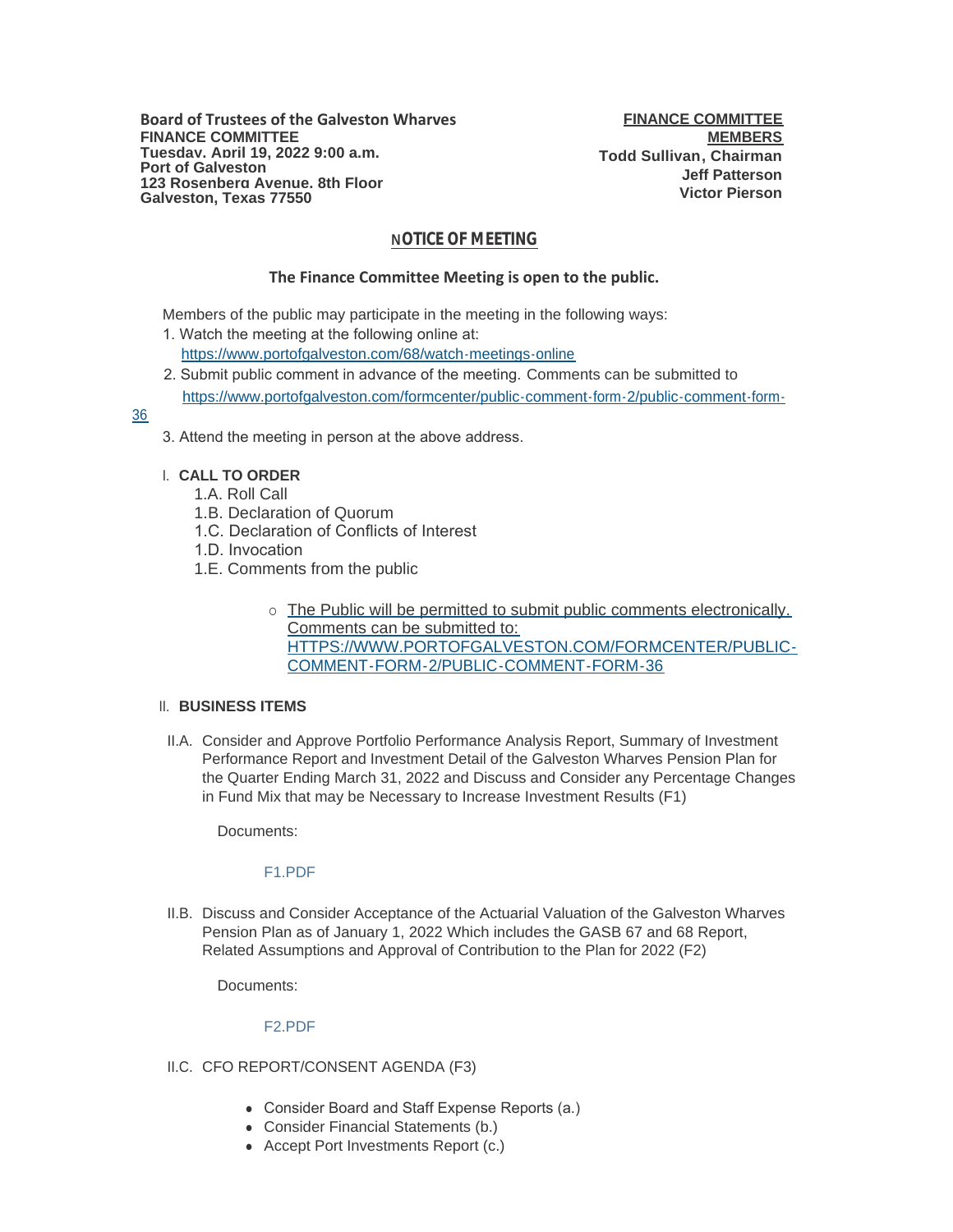# **NOTICE OF MEETING**

## **The Finance Committee Meeting is open to the public.**

Members of the public may participate in the meeting in the following ways:

- 1. Watch the meeting at the following online at: [https://www.portofgalveston.com/68/watch-meetings-online](https://www.portofgalveston.com/68/Watch-Meetings-Online)
- 2. Submit public comment in advance of the meeting. Comments can be submitted to [https://www.portofgalveston.com/formcenter/public-comment-form-2/public-comment-form-](https://www.portofgalveston.com/formcenter/public-comment-form-2/public-comment-form-36)

36

- 3. Attend the meeting in person at the above address.
- **CALL TO ORDER** I.
	- 1.A. Roll Call
	- 1.B. Declaration of Quorum
	- 1.C. Declaration of Conflicts of Interest
	- 1.D. Invocation
	- 1.E. Comments from the public
		- o The Public will be permitted to submit public comments electronically. Comments can be submitted to: HTTPS://WWW.PORTOFGALVESTON.COM/FORMCENTER/PUBLIC-COMMENT-FORM-2/PUBLIC-COMMENT-FORM-36

## **BUSINESS ITEMS**  II.

II.A. Consider and Approve Portfolio Performance Analysis Report, Summary of Investment Performance Report and Investment Detail of the Galveston Wharves Pension Plan for the Quarter Ending March 31, 2022 and Discuss and Consider any Percentage Changes in Fund Mix that may be Necessary to Increase Investment Results (F1)

Documents:

## [F1.PDF](https://www.portofgalveston.com/AgendaCenter/ViewFile/Item/4789?fileID=8524)

II.B. Discuss and Consider Acceptance of the Actuarial Valuation of the Galveston Wharves Pension Plan as of January 1, 2022 Which includes the GASB 67 and 68 Report, Related Assumptions and Approval of Contribution to the Plan for 2022 (F2)

Documents:

## [F2.PDF](https://www.portofgalveston.com/AgendaCenter/ViewFile/Item/4787?fileID=8525)

- II.C. CFO REPORT/CONSENT AGENDA (F3)
	- Consider Board and Staff Expense Reports (a.)
	- Consider Financial Statements (b.)
	- Accept Port Investments Report (c.)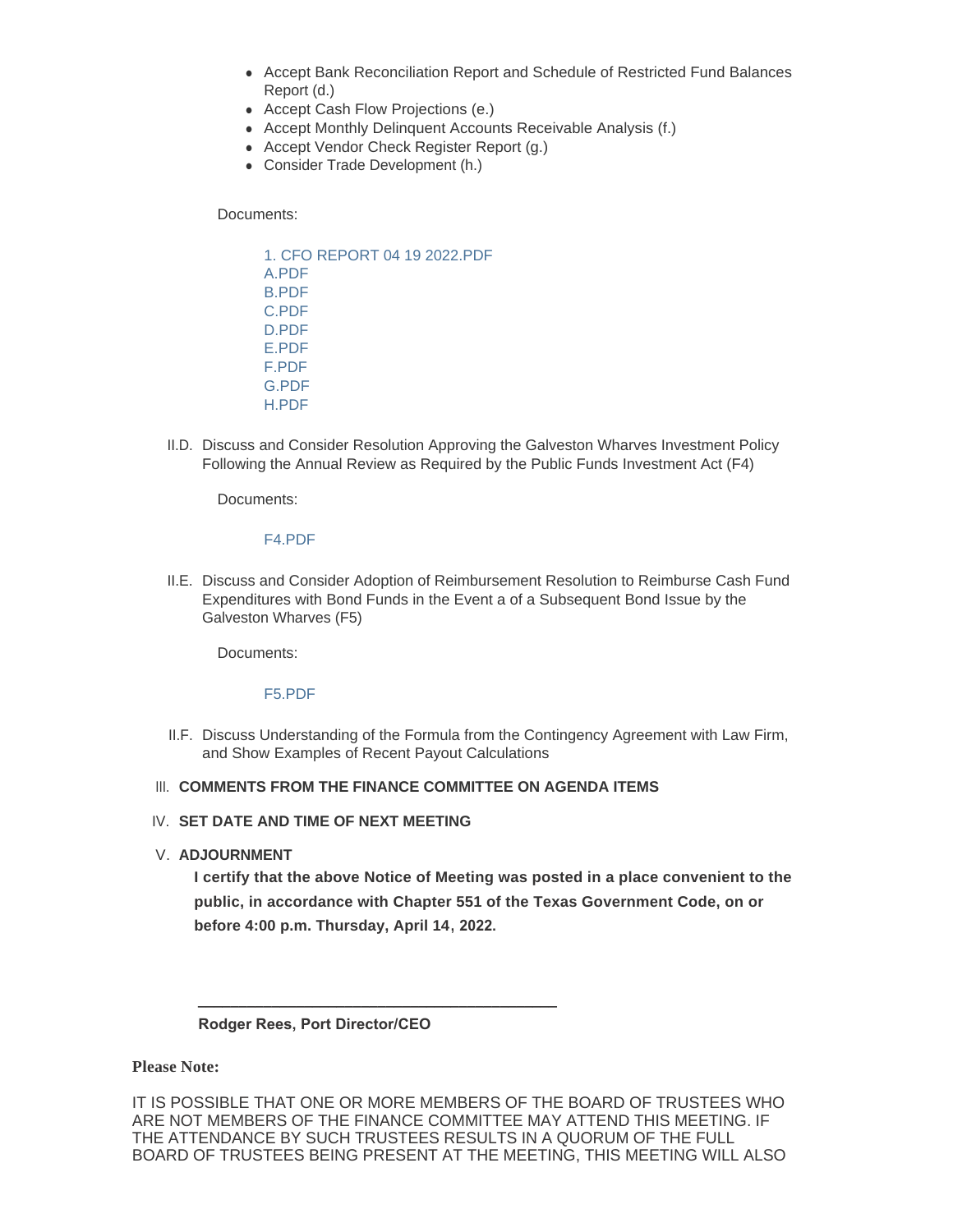- Accept Bank Reconciliation Report and Schedule of Restricted Fund Balances Report (d.)
- Accept Cash Flow Projections (e.)
- Accept Monthly Delinquent Accounts Receivable Analysis (f.)
- Accept Vendor Check Register Report (g.)
- Consider Trade Development (h.)

Documents:

[1. CFO REPORT 04 19 2022.PDF](https://www.portofgalveston.com/AgendaCenter/ViewFile/Item/4776?fileID=8515) [A.PDF](https://www.portofgalveston.com/AgendaCenter/ViewFile/Item/4776?fileID=8516) [B.PDF](https://www.portofgalveston.com/AgendaCenter/ViewFile/Item/4776?fileID=8517) [C.PDF](https://www.portofgalveston.com/AgendaCenter/ViewFile/Item/4776?fileID=8518) [D.PDF](https://www.portofgalveston.com/AgendaCenter/ViewFile/Item/4776?fileID=8519) [E.PDF](https://www.portofgalveston.com/AgendaCenter/ViewFile/Item/4776?fileID=8520) [F.PDF](https://www.portofgalveston.com/AgendaCenter/ViewFile/Item/4776?fileID=8521) [G.PDF](https://www.portofgalveston.com/AgendaCenter/ViewFile/Item/4776?fileID=8522) [H.PDF](https://www.portofgalveston.com/AgendaCenter/ViewFile/Item/4776?fileID=8523)

II.D. Discuss and Consider Resolution Approving the Galveston Wharves Investment Policy Following the Annual Review as Required by the Public Funds Investment Act (F4)

Documents:

#### [F4.PDF](https://www.portofgalveston.com/AgendaCenter/ViewFile/Item/4788?fileID=8528)

II.E. Discuss and Consider Adoption of Reimbursement Resolution to Reimburse Cash Fund Expenditures with Bond Funds in the Event a of a Subsequent Bond Issue by the Galveston Wharves (F5)

Documents:

## [F5.PDF](https://www.portofgalveston.com/AgendaCenter/ViewFile/Item/4794?fileID=8527)

II.F. Discuss Understanding of the Formula from the Contingency Agreement with Law Firm, and Show Examples of Recent Payout Calculations

## **III. COMMENTS FROM THE FINANCE COMMITTEE ON AGENDA ITEMS**

## IV. SET DATE AND TIME OF NEXT MEETING

**ADJOURNMENT** V.

**I certify that the above Notice of Meeting was posted in a place convenient to the public, in accordance with Chapter 551 of the Texas Government Code, on or before 4:00 p.m. Thursday, April 14, 2022.**

## **Rodger Rees, Port Director/CEO**

 **\_\_\_\_\_\_\_\_\_\_\_\_\_\_\_\_\_\_\_\_\_\_\_\_\_\_\_\_\_\_\_\_\_\_\_\_\_\_\_\_\_\_\_\_**

**Please Note:**

IT IS POSSIBLE THAT ONE OR MORE MEMBERS OF THE BOARD OF TRUSTEES WHO ARE NOT MEMBERS OF THE FINANCE COMMITTEE MAY ATTEND THIS MEETING. IF THE ATTENDANCE BY SUCH TRUSTEES RESULTS IN A QUORUM OF THE FULL BOARD OF TRUSTEES BEING PRESENT AT THE MEETING, THIS MEETING WILL ALSO